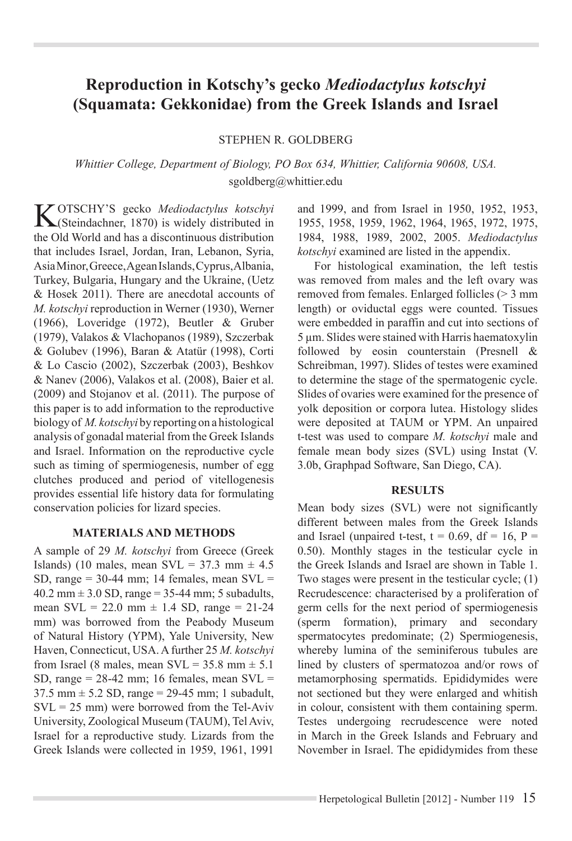# **Reproduction in Kotschy's gecko** *Mediodactylus kotschyi* **(Squamata: Gekkonidae) from the Greek Islands and Israel**

#### Stephen r. goldberg

*Whittier College, Department of Biology, PO Box 634, Whittier, California 90608, USA.*  sgoldberg@whittier.edu

**K**OTSCHY'S gecko *Mediodactylus kotschyi* (Steindachner, 1870) is widely distributed in the Old World and has a discontinuous distribution that includes Israel, Jordan, Iran, Lebanon, Syria, Asia Minor, Greece, Agean Islands, Cyprus, Albania, Turkey, Bulgaria, Hungary and the Ukraine, (Uetz & Hosek 2011). There are anecdotal accounts of *M. kotschyi* reproduction in Werner (1930), Werner (1966), Loveridge (1972), Beutler & Gruber (1979), Valakos & Vlachopanos (1989), Szczerbak & Golubev (1996), Baran & Atatür (1998), Corti & Lo Cascio (2002), Szczerbak (2003), Beshkov & Nanev (2006), Valakos et al. (2008), Baier et al. (2009) and Stojanov et al. (2011). The purpose of this paper is to add information to the reproductive biology of *M. kotschyi* by reporting on a histological analysis of gonadal material from the Greek Islands and Israel. Information on the reproductive cycle such as timing of spermiogenesis, number of egg clutches produced and period of vitellogenesis provides essential life history data for formulating conservation policies for lizard species.

#### **materials and methods**

A sample of 29 *M. kotschyi* from Greece (Greek Islands) (10 males, mean SVL =  $37.3$  mm  $\pm$  4.5 SD, range  $= 30-44$  mm; 14 females, mean SVL  $=$  $40.2$  mm  $\pm$  3.0 SD, range = 35-44 mm; 5 subadults, mean  $SVL = 22.0$  mm  $\pm$  1.4 SD, range = 21-24 mm) was borrowed from the Peabody Museum of Natural History (YPM), Yale University, New Haven, Connecticut, USA. A further 25 *M. kotschyi*  from Israel (8 males, mean  $SVL = 35.8$  mm  $\pm 5.1$ SD, range  $= 28-42$  mm; 16 females, mean SVL  $=$  $37.5 \text{ mm} \pm 5.2 \text{ SD}$ , range = 29-45 mm; 1 subadult,  $SVL = 25$  mm) were borrowed from the Tel-Aviv University, Zoological Museum (TAUM), Tel Aviv, Israel for a reproductive study. Lizards from the Greek Islands were collected in 1959, 1961, 1991

and 1999, and from Israel in 1950, 1952, 1953, 1955, 1958, 1959, 1962, 1964, 1965, 1972, 1975, 1984, 1988, 1989, 2002, 2005. *Mediodactylus kotschyi* examined are listed in the appendix.

For histological examination, the left testis was removed from males and the left ovary was removed from females. Enlarged follicles (> 3 mm length) or oviductal eggs were counted. Tissues were embedded in paraffin and cut into sections of 5 µm. Slides were stained with Harris haematoxylin followed by eosin counterstain (Presnell & Schreibman, 1997). Slides of testes were examined to determine the stage of the spermatogenic cycle. Slides of ovaries were examined for the presence of yolk deposition or corpora lutea. Histology slides were deposited at TAUM or YPM. An unpaired t-test was used to compare *M. kotschyi* male and female mean body sizes (SVL) using Instat (V. 3.0b, Graphpad Software, San Diego, CA).

#### **RESULTS**

Mean body sizes (SVL) were not significantly different between males from the Greek Islands and Israel (unpaired t-test,  $t = 0.69$ ,  $df = 16$ ,  $P =$ 0.50). Monthly stages in the testicular cycle in the Greek Islands and Israel are shown in Table 1. Two stages were present in the testicular cycle; (1) Recrudescence: characterised by a proliferation of germ cells for the next period of spermiogenesis (sperm formation), primary and secondary spermatocytes predominate; (2) Spermiogenesis, whereby lumina of the seminiferous tubules are lined by clusters of spermatozoa and/or rows of metamorphosing spermatids. Epididymides were not sectioned but they were enlarged and whitish in colour, consistent with them containing sperm. Testes undergoing recrudescence were noted in March in the Greek Islands and February and November in Israel. The epididymides from these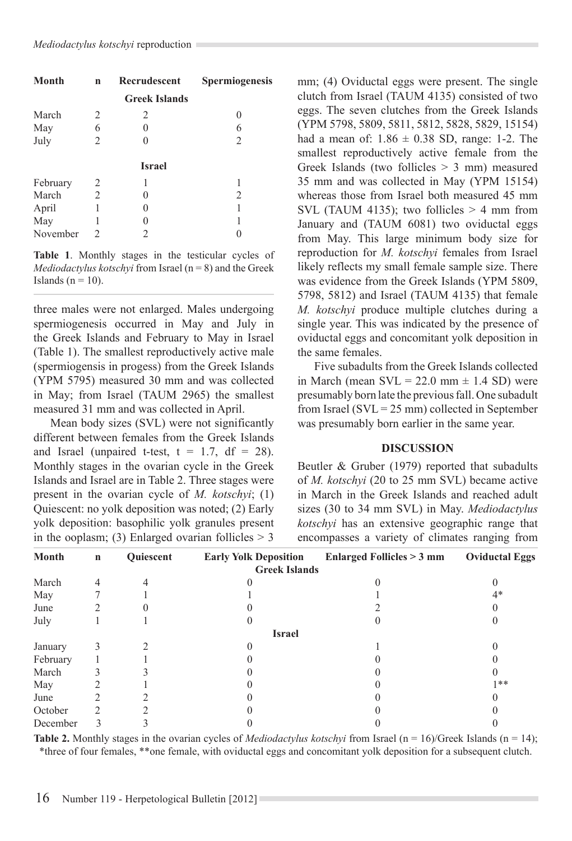| <b>Month</b> | n              | Recrudescent         | Spermiogenesis |
|--------------|----------------|----------------------|----------------|
|              |                | <b>Greek Islands</b> |                |
| March        | 2              | 2                    |                |
| May          | 6              |                      | 6              |
| July         | $\overline{c}$ |                      | $\overline{c}$ |
|              |                | <b>Israel</b>        |                |
| February     | 2              |                      |                |
| March        | $\overline{2}$ |                      | 2              |
| April        | 1              |                      |                |
| May          | 1              |                      |                |
| November     | 2              |                      |                |

**Table 1**. Monthly stages in the testicular cycles of *Mediodactylus kotschyi* from Israel (n = 8) and the Greek Islands ( $n = 10$ ).

three males were not enlarged. Males undergoing spermiogenesis occurred in May and July in the Greek Islands and February to May in Israel (Table 1). The smallest reproductively active male (spermiogensis in progess) from the Greek Islands (YPM 5795) measured 30 mm and was collected in May; from Israel (TAUM 2965) the smallest measured 31 mm and was collected in April.

Mean body sizes (SVL) were not significantly different between females from the Greek Islands and Israel (unpaired t-test,  $t = 1.7$ ,  $df = 28$ ). Monthly stages in the ovarian cycle in the Greek Islands and Israel are in Table 2. Three stages were present in the ovarian cycle of *M. kotschyi*; (1) Quiescent: no yolk deposition was noted; (2) Early yolk deposition: basophilic yolk granules present in the ooplasm; (3) Enlarged ovarian follicles  $> 3$ 

mm; (4) Oviductal eggs were present. The single clutch from Israel (TAUM 4135) consisted of two eggs. The seven clutches from the Greek Islands (YPM 5798, 5809, 5811, 5812, 5828, 5829, 15154) had a mean of:  $1.86 \pm 0.38$  SD, range: 1-2. The smallest reproductively active female from the Greek Islands (two follicles  $> 3$  mm) measured 35 mm and was collected in May (YPM 15154) whereas those from Israel both measured 45 mm SVL (TAUM 4135); two follicles  $> 4$  mm from January and (TAUM 6081) two oviductal eggs from May. This large minimum body size for reproduction for *M. kotschyi* females from Israel likely reflects my small female sample size. There was evidence from the Greek Islands (YPM 5809, 5798, 5812) and Israel (TAUM 4135) that female *M. kotschyi* produce multiple clutches during a single year. This was indicated by the presence of oviductal eggs and concomitant yolk deposition in the same females.

Five subadults from the Greek Islands collected in March (mean  $SVL = 22.0$  mm  $\pm$  1.4 SD) were presumably born late the previous fall. One subadult from Israel ( $SVL = 25$  mm) collected in September was presumably born earlier in the same year.

#### **DISCUSSION**

Beutler & Gruber (1979) reported that subadults of *M. kotschyi* (20 to 25 mm SVL) became active in March in the Greek Islands and reached adult sizes (30 to 34 mm SVL) in May. *Mediodactylus kotschyi* has an extensive geographic range that encompasses a variety of climates ranging from

| Month    | $\mathbf n$ | Quiescent | <b>Early Yolk Deposition</b> | <b>Enlarged Follicles &gt; 3 mm</b> | <b>Oviductal Eggs</b> |
|----------|-------------|-----------|------------------------------|-------------------------------------|-----------------------|
|          |             |           | <b>Greek Islands</b>         |                                     |                       |
| March    | 4           |           |                              |                                     |                       |
| May      |             |           |                              |                                     | $4*$                  |
| June     |             |           |                              |                                     |                       |
| July     |             |           |                              |                                     |                       |
|          |             |           | <b>Israel</b>                |                                     |                       |
| January  |             |           |                              |                                     |                       |
| February |             |           |                              |                                     |                       |
| March    |             |           |                              |                                     |                       |
| May      |             |           |                              |                                     | 1**                   |
| June     |             |           |                              |                                     |                       |
| October  |             |           |                              |                                     |                       |
| December |             |           |                              |                                     |                       |

**Table 2.** Monthly stages in the ovarian cycles of *Mediodactylus kotschyi* from Israel ( $n = 16$ )/Greek Islands ( $n = 14$ ); \*three of four females, \*\*one female, with oviductal eggs and concomitant yolk deposition for a subsequent clutch.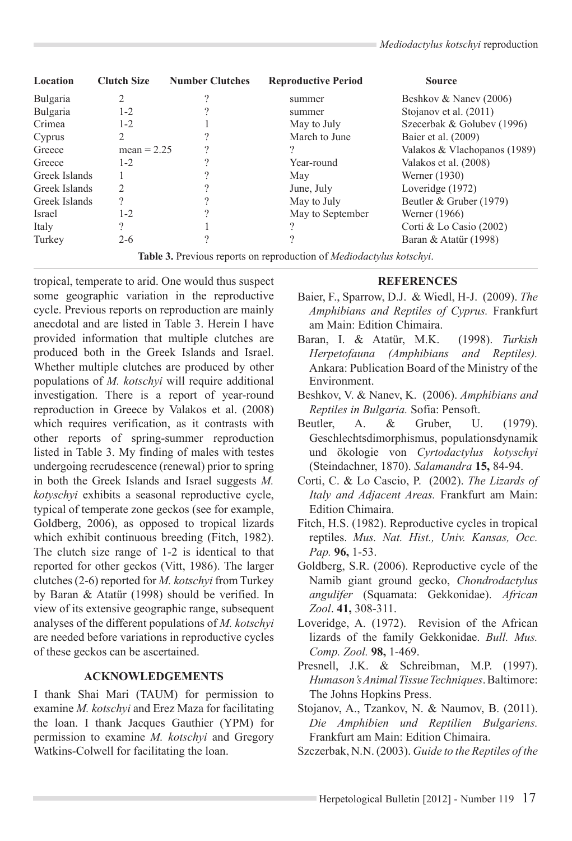| Location      | <b>Clutch Size</b>                                                                                                                                                                                                                                                                                                                                                                                     | <b>Number Clutches</b> | <b>Reproductive Period</b> | <b>Source</b>                |
|---------------|--------------------------------------------------------------------------------------------------------------------------------------------------------------------------------------------------------------------------------------------------------------------------------------------------------------------------------------------------------------------------------------------------------|------------------------|----------------------------|------------------------------|
| Bulgaria      |                                                                                                                                                                                                                                                                                                                                                                                                        |                        | summer                     | Beshkov & Nanev (2006)       |
| Bulgaria      | $1 - 2$                                                                                                                                                                                                                                                                                                                                                                                                |                        | summer                     | Stojanov et al. (2011)       |
| Crimea        | $1 - 2$                                                                                                                                                                                                                                                                                                                                                                                                |                        | May to July                | Szecerbak & Golubev (1996)   |
| Cyprus        |                                                                                                                                                                                                                                                                                                                                                                                                        |                        | March to June              | Baier et al. (2009)          |
| Greece        | mean $= 2.25$                                                                                                                                                                                                                                                                                                                                                                                          |                        |                            | Valakos & Vlachopanos (1989) |
| Greece        | $1 - 2$                                                                                                                                                                                                                                                                                                                                                                                                |                        | Year-round                 | Valakos et al. (2008)        |
| Greek Islands |                                                                                                                                                                                                                                                                                                                                                                                                        |                        | May                        | Werner (1930)                |
| Greek Islands | $\mathfrak{D}_{1}^{(1)}=\mathfrak{D}_{2}^{(2)}=\mathfrak{D}_{2}^{(1)}=\mathfrak{D}_{2}^{(1)}=\mathfrak{D}_{2}^{(1)}=\mathfrak{D}_{2}^{(1)}=\mathfrak{D}_{2}^{(1)}=\mathfrak{D}_{2}^{(1)}=\mathfrak{D}_{2}^{(1)}=\mathfrak{D}_{2}^{(1)}=\mathfrak{D}_{2}^{(1)}=\mathfrak{D}_{2}^{(1)}=\mathfrak{D}_{2}^{(1)}=\mathfrak{D}_{2}^{(1)}=\mathfrak{D}_{2}^{(1)}=\mathfrak{D}_{2}^{(1)}=\mathfrak{D}_{2}^{(1$ |                        | June, July                 | Loveridge (1972)             |
| Greek Islands | 9                                                                                                                                                                                                                                                                                                                                                                                                      |                        | May to July                | Beutler & Gruber (1979)      |
| <b>Israel</b> | $1 - 2$                                                                                                                                                                                                                                                                                                                                                                                                |                        | May to September           | Werner (1966)                |
| Italy         |                                                                                                                                                                                                                                                                                                                                                                                                        |                        | റ                          | Corti & Lo Casio $(2002)$    |
| Turkey        | $2 - 6$                                                                                                                                                                                                                                                                                                                                                                                                |                        |                            | Baran & Atatür (1998)        |

**Table 3.** Previous reports on reproduction of *Mediodactylus kotschyi*.

tropical, temperate to arid. One would thus suspect some geographic variation in the reproductive cycle. Previous reports on reproduction are mainly anecdotal and are listed in Table 3. Herein I have provided information that multiple clutches are produced both in the Greek Islands and Israel. Whether multiple clutches are produced by other populations of *M. kotschyi* will require additional investigation. There is a report of year-round reproduction in Greece by Valakos et al. (2008) which requires verification, as it contrasts with other reports of spring-summer reproduction listed in Table 3. My finding of males with testes undergoing recrudescence (renewal) prior to spring in both the Greek Islands and Israel suggests *M. kotyschyi* exhibits a seasonal reproductive cycle, typical of temperate zone geckos (see for example, Goldberg, 2006), as opposed to tropical lizards which exhibit continuous breeding (Fitch, 1982). The clutch size range of 1-2 is identical to that reported for other geckos (Vitt, 1986). The larger clutches (2-6) reported for *M. kotschyi* from Turkey by Baran & Atatür (1998) should be verified. In view of its extensive geographic range, subsequent analyses of the different populations of *M. kotschyi*  are needed before variations in reproductive cycles of these geckos can be ascertained.

### **ACKNOWLEDGEMENTS**

I thank Shai Mari (TAUM) for permission to examine *M. kotschyi* and Erez Maza for facilitating the loan. I thank Jacques Gauthier (YPM) for permission to examine *M. kotschyi* and Gregory Watkins-Colwell for facilitating the loan.

## **References**

- Baier, F., Sparrow, D.J. & Wiedl, H-J. (2009). *The Amphibians and Reptiles of Cyprus.* Frankfurt am Main: Edition Chimaira.
- Baran, I. & Atatür, M.K. (1998). *Turkish Herpetofauna (Amphibians and Reptiles).* Ankara: Publication Board of the Ministry of the Environment.
- Beshkov, V. & Nanev, K. (2006). *Amphibians and Reptiles in Bulgaria.* Sofia: Pensoft.
- Beutler, A. & Gruber, U. (1979). Geschlechtsdimorphismus, populationsdynamik und ökologie von *Cyrtodactylus kotyschyi*  (Steindachner, 1870). *Salamandra* **15,** 84-94.
- Corti, C. & Lo Cascio, P. (2002). *The Lizards of Italy and Adjacent Areas.* Frankfurt am Main: Edition Chimaira.
- Fitch, H.S. (1982). Reproductive cycles in tropical reptiles. *Mus. Nat. Hist., Univ. Kansas, Occ. Pap.* **96,** 1-53.
- Goldberg, S.R. (2006). Reproductive cycle of the Namib giant ground gecko, *Chondrodactylus angulifer* (Squamata: Gekkonidae). *African Zool*. **41,** 308-311.
- Loveridge, A. (1972). Revision of the African lizards of the family Gekkonidae. *Bull. Mus. Comp. Zool.* **98,** 1-469.
- Presnell, J.K. & Schreibman, M.P. (1997). *Humason's Animal Tissue Techniques*. Baltimore: The Johns Hopkins Press.
- Stojanov, A., Tzankov, N. & Naumov, B. (2011). *Die Amphibien und Reptilien Bulgariens.* Frankfurt am Main: Edition Chimaira.
- Szczerbak, N.N. (2003). *Guide to the Reptiles of the*